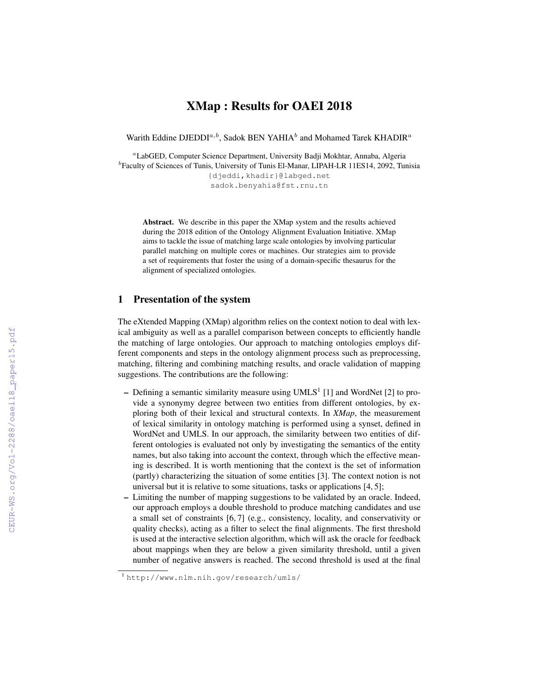# XMap : Results for OAEI 2018

Warith Eddine DJEDDI<sup>a, b</sup>, Sadok BEN YAHIA<sup>b</sup> and Mohamed Tarek KHADIR<sup>a</sup>

<sup>a</sup>LabGED, Computer Science Department, University Badji Mokhtar, Annaba, Algeria <sup>b</sup>Faculty of Sciences of Tunis, University of Tunis El-Manar, LIPAH-LR 11ES14, 2092, Tunisia {djeddi,khadir}@labged.net sadok.benyahia@fst.rnu.tn

Abstract. We describe in this paper the XMap system and the results achieved during the 2018 edition of the Ontology Alignment Evaluation Initiative. XMap aims to tackle the issue of matching large scale ontologies by involving particular parallel matching on multiple cores or machines. Our strategies aim to provide a set of requirements that foster the using of a domain-specific thesaurus for the alignment of specialized ontologies.

### 1 Presentation of the system

The eXtended Mapping (XMap) algorithm relies on the context notion to deal with lexical ambiguity as well as a parallel comparison between concepts to efficiently handle the matching of large ontologies. Our approach to matching ontologies employs different components and steps in the ontology alignment process such as preprocessing, matching, filtering and combining matching results, and oracle validation of mapping suggestions. The contributions are the following:

- Defining a semantic similarity measure using  $UMLS<sup>1</sup>$  [1] and WordNet [2] to provide a synonymy degree between two entities from different ontologies, by exploring both of their lexical and structural contexts. In *XMap*, the measurement of lexical similarity in ontology matching is performed using a synset, defined in WordNet and UMLS. In our approach, the similarity between two entities of different ontologies is evaluated not only by investigating the semantics of the entity names, but also taking into account the context, through which the effective meaning is described. It is worth mentioning that the context is the set of information (partly) characterizing the situation of some entities [3]. The context notion is not universal but it is relative to some situations, tasks or applications [4, 5];
- Limiting the number of mapping suggestions to be validated by an oracle. Indeed, our approach employs a double threshold to produce matching candidates and use a small set of constraints [6, 7] (e.g., consistency, locality, and conservativity or quality checks), acting as a filter to select the final alignments. The first threshold is used at the interactive selection algorithm, which will ask the oracle for feedback about mappings when they are below a given similarity threshold, until a given number of negative answers is reached. The second threshold is used at the final

<sup>1</sup> http://www.nlm.nih.gov/research/umls/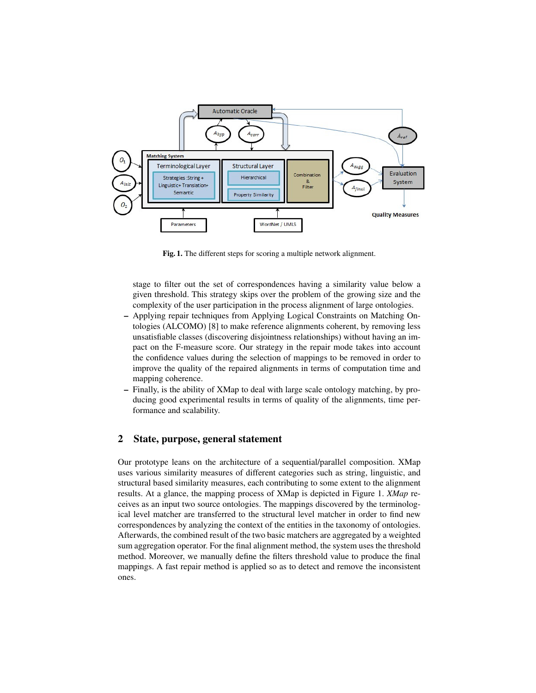

Fig. 1. The different steps for scoring a multiple network alignment.

stage to filter out the set of correspondences having a similarity value below a given threshold. This strategy skips over the problem of the growing size and the complexity of the user participation in the process alignment of large ontologies.

- Applying repair techniques from Applying Logical Constraints on Matching Ontologies (ALCOMO) [8] to make reference alignments coherent, by removing less unsatisfiable classes (discovering disjointness relationships) without having an impact on the F-measure score. Our strategy in the repair mode takes into account the confidence values during the selection of mappings to be removed in order to improve the quality of the repaired alignments in terms of computation time and mapping coherence.
- Finally, is the ability of XMap to deal with large scale ontology matching, by producing good experimental results in terms of quality of the alignments, time performance and scalability.

## 2 State, purpose, general statement

Our prototype leans on the architecture of a sequential/parallel composition. XMap uses various similarity measures of different categories such as string, linguistic, and structural based similarity measures, each contributing to some extent to the alignment results. At a glance, the mapping process of XMap is depicted in Figure 1. *XMap* receives as an input two source ontologies. The mappings discovered by the terminological level matcher are transferred to the structural level matcher in order to find new correspondences by analyzing the context of the entities in the taxonomy of ontologies. Afterwards, the combined result of the two basic matchers are aggregated by a weighted sum aggregation operator. For the final alignment method, the system uses the threshold method. Moreover, we manually define the filters threshold value to produce the final mappings. A fast repair method is applied so as to detect and remove the inconsistent ones.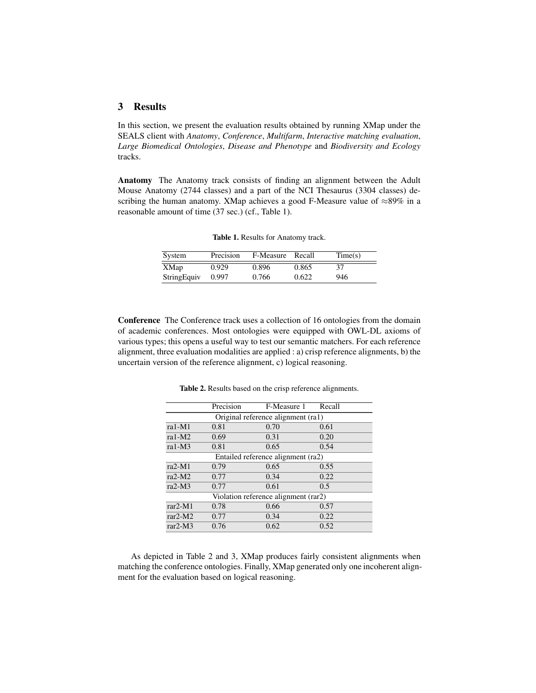# 3 Results

In this section, we present the evaluation results obtained by running XMap under the SEALS client with *Anatomy*, *Conference*, *Multifarm*, *Interactive matching evaluation*, *Large Biomedical Ontologies*, *Disease and Phenotype* and *Biodiversity and Ecology* tracks.

Anatomy The Anatomy track consists of finding an alignment between the Adult Mouse Anatomy (2744 classes) and a part of the NCI Thesaurus (3304 classes) describing the human anatomy. XMap achieves a good F-Measure value of ≈89% in a reasonable amount of time (37 sec.) (cf., Table 1).

| System      | Precision | F-Measure Recall |       | Time(s) |
|-------------|-----------|------------------|-------|---------|
| XMap        | 0.929     | 0.896            | 0.865 | 37      |
| StringEquiv | 0.997     | 0.766            | 0.622 | 946     |

Table 1. Results for Anatomy track.

Conference The Conference track uses a collection of 16 ontologies from the domain of academic conferences. Most ontologies were equipped with OWL-DL axioms of various types; this opens a useful way to test our semantic matchers. For each reference alignment, three evaluation modalities are applied : a) crisp reference alignments, b) the uncertain version of the reference alignment, c) logical reasoning.

|                                      | Precision | F-Measure 1 | Recall |  |  |  |
|--------------------------------------|-----------|-------------|--------|--|--|--|
| Original reference alignment (ra1)   |           |             |        |  |  |  |
| $ra1-M1$                             | 0.81      | 0.70        | 0.61   |  |  |  |
| ra1- $M2$                            | 0.69      | 0.31        | 0.20   |  |  |  |
| ra $1-M3$                            | 0.81      | 0.65        | 0.54   |  |  |  |
| Entailed reference alignment (ra2)   |           |             |        |  |  |  |
| $ra2-M1$                             | 0.79      | 0.65        | 0.55   |  |  |  |
| $ra2-M2$                             | 0.77      | 0.34        | 0.22   |  |  |  |
| $ra2-M3$                             | 0.77      | 0.61        | 0.5    |  |  |  |
| Violation reference alignment (rar2) |           |             |        |  |  |  |
| $rar2-M1$                            | 0.78      | 0.66        | 0.57   |  |  |  |
| $rar2-M2$                            | 0.77      | 0.34        | 0.22   |  |  |  |
| $rar2-M3$                            | 0.76      | 0.62        | 0.52   |  |  |  |

Table 2. Results based on the crisp reference alignments.

As depicted in Table 2 and 3, XMap produces fairly consistent alignments when matching the conference ontologies. Finally, XMap generated only one incoherent alignment for the evaluation based on logical reasoning.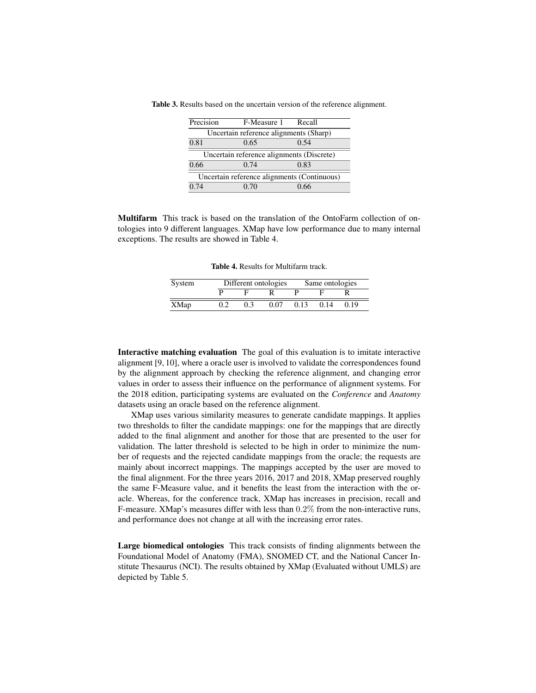| Precision                                   | F-Measure 1 Recall                     |      |  |  |  |  |
|---------------------------------------------|----------------------------------------|------|--|--|--|--|
|                                             | Uncertain reference alignments (Sharp) |      |  |  |  |  |
| 0.81                                        | 0.65                                   | 0.54 |  |  |  |  |
| Uncertain reference alignments (Discrete)   |                                        |      |  |  |  |  |
| 0.66                                        | 0.74                                   | 0.83 |  |  |  |  |
| Uncertain reference alignments (Continuous) |                                        |      |  |  |  |  |
| 0.74                                        | 0.70                                   | በ 66 |  |  |  |  |

Table 3. Results based on the uncertain version of the reference alignment.

Multifarm This track is based on the translation of the OntoFarm collection of ontologies into 9 different languages. XMap have low performance due to many internal exceptions. The results are showed in Table 4.

Table 4. Results for Multifarm track.

| System | Different ontologies |     |      | Same ontologies |      |      |
|--------|----------------------|-----|------|-----------------|------|------|
|        |                      |     |      |                 |      |      |
| XMap   |                      | 0.3 | 0.07 | 0.13            | 0.14 | 0.19 |

Interactive matching evaluation The goal of this evaluation is to imitate interactive alignment [9, 10], where a oracle user is involved to validate the correspondences found by the alignment approach by checking the reference alignment, and changing error values in order to assess their influence on the performance of alignment systems. For the 2018 edition, participating systems are evaluated on the *Conference* and *Anatomy* datasets using an oracle based on the reference alignment.

XMap uses various similarity measures to generate candidate mappings. It applies two thresholds to filter the candidate mappings: one for the mappings that are directly added to the final alignment and another for those that are presented to the user for validation. The latter threshold is selected to be high in order to minimize the number of requests and the rejected candidate mappings from the oracle; the requests are mainly about incorrect mappings. The mappings accepted by the user are moved to the final alignment. For the three years 2016, 2017 and 2018, XMap preserved roughly the same F-Measure value, and it benefits the least from the interaction with the oracle. Whereas, for the conference track, XMap has increases in precision, recall and F-measure. XMap's measures differ with less than 0.2% from the non-interactive runs, and performance does not change at all with the increasing error rates.

Large biomedical ontologies This track consists of finding alignments between the Foundational Model of Anatomy (FMA), SNOMED CT, and the National Cancer Institute Thesaurus (NCI). The results obtained by XMap (Evaluated without UMLS) are depicted by Table 5.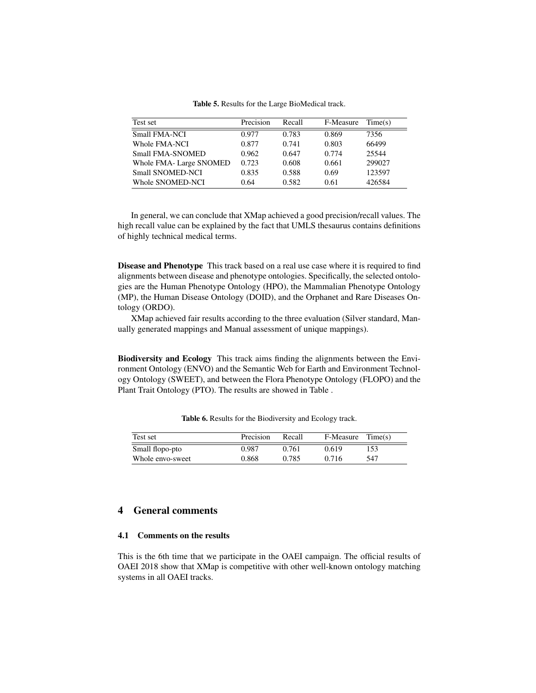| Test set                | Precision | Recall | F-Measure | Time(s) |
|-------------------------|-----------|--------|-----------|---------|
| <b>Small FMA-NCI</b>    | 0.977     | 0.783  | 0.869     | 7356    |
| Whole FMA-NCI           | 0.877     | 0.741  | 0.803     | 66499   |
| <b>Small FMA-SNOMED</b> | 0.962     | 0.647  | 0.774     | 25544   |
| Whole FMA-Large SNOMED  | 0.723     | 0.608  | 0.661     | 299027  |
| Small SNOMED-NCI        | 0.835     | 0.588  | 0.69      | 123597  |
| Whole SNOMED-NCI        | 0.64      | 0.582  | 0.61      | 426584  |

Table 5. Results for the Large BioMedical track.

In general, we can conclude that XMap achieved a good precision/recall values. The high recall value can be explained by the fact that UMLS thesaurus contains definitions of highly technical medical terms.

Disease and Phenotype This track based on a real use case where it is required to find alignments between disease and phenotype ontologies. Specifically, the selected ontologies are the Human Phenotype Ontology (HPO), the Mammalian Phenotype Ontology (MP), the Human Disease Ontology (DOID), and the Orphanet and Rare Diseases Ontology (ORDO).

XMap achieved fair results according to the three evaluation (Silver standard, Manually generated mappings and Manual assessment of unique mappings).

Biodiversity and Ecology This track aims finding the alignments between the Environment Ontology (ENVO) and the Semantic Web for Earth and Environment Technology Ontology (SWEET), and between the Flora Phenotype Ontology (FLOPO) and the Plant Trait Ontology (PTO). The results are showed in Table .

| Test set         | Precision | Recall | F-Measure | Time(s) |
|------------------|-----------|--------|-----------|---------|
| Small flopo-pto  | 0.987     | 0.761  | 0.619     | 153     |
| Whole envo-sweet | 0.868     | 0.785  | 0.716     | 547     |

Table 6. Results for the Biodiversity and Ecology track.

# 4 General comments

### 4.1 Comments on the results

This is the 6th time that we participate in the OAEI campaign. The official results of OAEI 2018 show that XMap is competitive with other well-known ontology matching systems in all OAEI tracks.